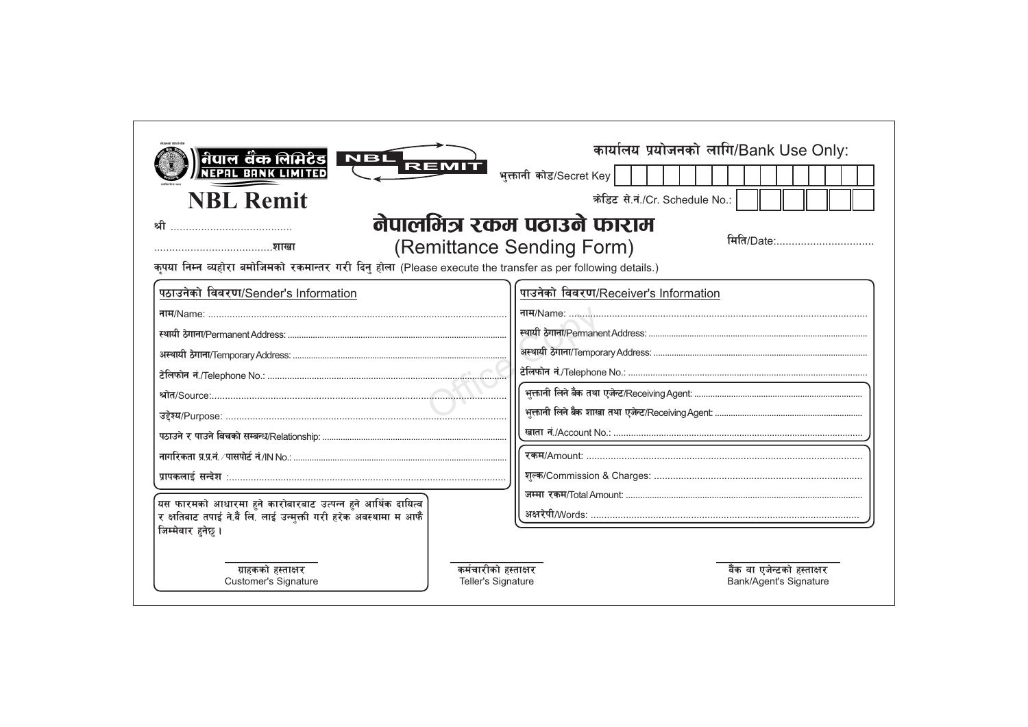| <u>नेपाल बैंक लिमिटेड</u><br>NEPAL BANK LIMITED<br><b>NBL</b><br>REMI<br><b>NBL Remit</b>                                                                                                     | कार्यालय प्रयोजनको लागि/Bank Use Only:<br>भुक्तानी कोड/Secret Key<br>क्रेडिट से.नं./Cr. Schedule No.: |  |
|-----------------------------------------------------------------------------------------------------------------------------------------------------------------------------------------------|-------------------------------------------------------------------------------------------------------|--|
| नेपालभित्र रकम पठाउने फाराम<br>श्री<br>मिति/Date:<br>(Remittance Sending Form)<br>कृपया निम्न व्यहोरा बमोजिमको रकमान्तर गरी दिनु होला (Please execute the transfer as per following details.) |                                                                                                       |  |
| पठाउनेको विवरण/Sender's Information                                                                                                                                                           | पाउनेको विवरण/Receiver's Information<br>नाम/Name:                                                     |  |
| यस फारमको आधारमा हुने कारोबारबाट उत्पन्न हुने आर्थिक दायित्व<br>र क्षतिबाट तपाई ने.बैं लि. लाई उन्मुक्ती गरी हरेक अवस्थामा म आफैं<br>जिम्मेवार हनेछ ।                                         |                                                                                                       |  |
| ग्राहकको हस्ताक्षर<br>कर्मचारीको हस्ताक्षर<br><b>Customer's Signature</b><br><b>Teller's Signature</b>                                                                                        | बैंक वा एजेन्टको हस्ताक्षर<br><b>Bank/Agent's Signature</b>                                           |  |